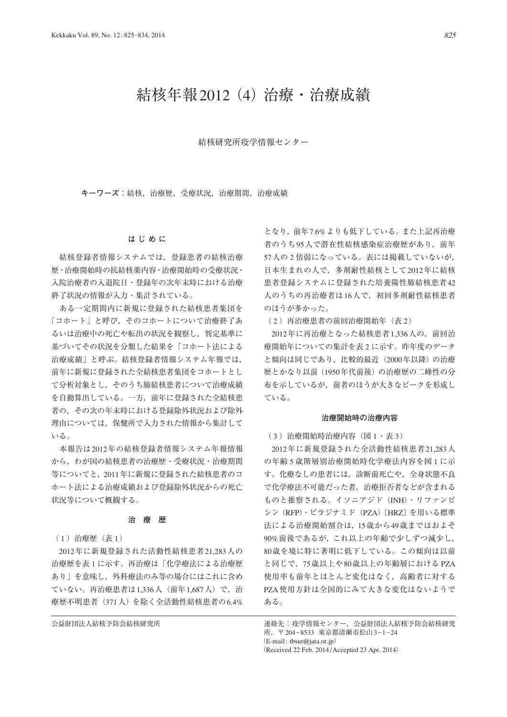# 結核年報2012(4)治療・治療成績

結核研究所疫学情報センター

**キーワーズ**:結核,治療歴,受療状況,治療期間,治療成績

## **はじめに**

 結核登録者情報システムでは,登録患者の結核治療 歴・治療開始時の抗結核薬内容・治療開始時の受療状況・ 入院治療者の入退院日・登録年の次年末時における治療 終了状況の情報が入力・集計されている。

 ある一定期間内に新規に登録された結核患者集団を 「コホート」と呼び,そのコホートについて治療終了あ るいは治療中の死亡や転出の状況を観察し,判定基準に 基づいてその状況を分類した結果を「コホート法による 治療成績」と呼ぶ。結核登録者情報システム年報では, 前年に新規に登録された全結核患者集団をコホートとし て分析対象とし,そのうち肺結核患者について治療成績 を自動算出している。一方,前年に登録された全結核患 者の,その次の年末時における登録除外状況および除外 理由については,保健所で入力された情報から集計して いる。

 本報告は2012年の結核登録者情報システム年報情報 から,わが国の結核患者の治療歴・受療状況・治療期間 等についてと,2011年に新規に登録された結核患者のコ ホート法による治療成績および登録除外状況からの死亡 状況等について概観する。

# **治 療 歴**

( 1 )治療歴(表 1)

2012年に新規登録された活動性結核患者21,283人の 治療歴を表 1 に示す。再治療は「化学療法による治療歴 あり」を意味し,外科療法のみ等の場合にはこれに含め ていない。再治療患者は1,336人(前年1,687人)で,治 療歴不明患者(371人)を除く全活動性結核患者の6.4%

となり,前年7.6%よりも低下している。また上記再治療 者のうち95人で潜在性結核感染症治療歴があり、前年 57人の 2 倍弱になっている。表には掲載していないが, 日本生まれの人で,多剤耐性結核として2012年に結核 患者登録システムに登録された培養陽性肺結核患者42 人のうちの再治療者は16人で、初回多剤耐性結核患者 のほうが多かった。

( 2 )再治療患者の前回治療開始年(表 2)

2012年に再治療となった結核患者1,336人の,前回治 療開始年についての集計を表2に示す。昨年度のデータ と傾向は同じであり、比較的最近 (2000年以降)の治療 歴とかなり以前(1950年代前後)の治療歴の二峰性の分 布を示しているが,前者のほうが大きなピークを形成し ている。

### **治療開始時の治療内容**

(3) 治療開始時治療内容(図1・表 3)

2012年に新規登録された全活動性結核患者21,283人 の年齢 5 歳階層別治療開始時化学療法内容を図 1 に示 す。化療なしの患者には,診断前死亡や,全身状態不良 で化学療法不可能だった者,治療拒否者などが含まれる ものと推察される。イソニアジド(INH)・リファンピ シン(RFP)・ピラジナミド(PZA)〔HRZ〕を用いる標準 法による治療開始割合は,15歳から49歳まではおよそ 90%前後であるが,これ以上の年齢で少しずつ減少し, 80歳を境に特に著明に低下している。この傾向は以前 と同じで,75歳以上や80歳以上の年齢層における PZA 使用率も前年とほとんど変化はなく,高齢者に対する PZA使用方針は全国的にみて大きな変化はないようで ある。

公益財団法人結核予防会結核研究所 カポラン さんじゅう 連絡先:疫学情報センター,公益財団法人結核予防会結核研究 所,〒 204\_8533 東京都清瀬市松山3\_1\_24 (E-mail: tbsur@jata.or.jp) (Received 22 Feb. 2014 / Accepted 23 Apr. 2014)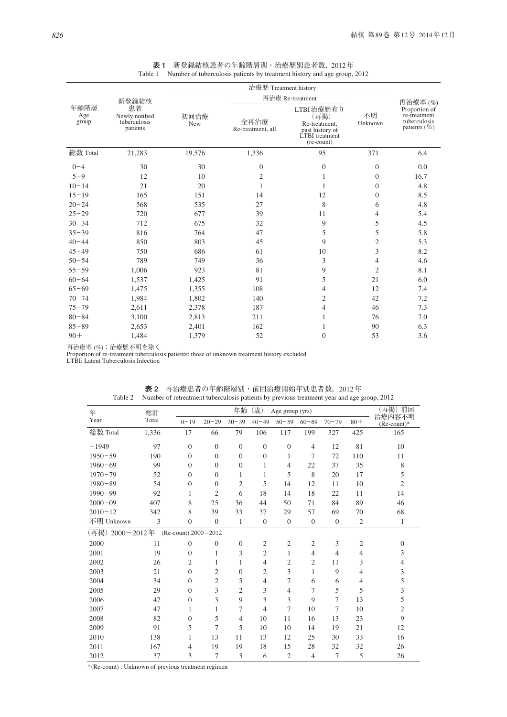|                      |                                                  | 治療歴 Treatment history |                           |                                                                                              |                  |                                                                   |  |  |  |
|----------------------|--------------------------------------------------|-----------------------|---------------------------|----------------------------------------------------------------------------------------------|------------------|-------------------------------------------------------------------|--|--|--|
|                      | 新登録結核                                            |                       | 再治療 Re-treatment          |                                                                                              | 再治療率(%)          |                                                                   |  |  |  |
| 年齢階層<br>Age<br>group | 患者<br>Newly notified<br>tuberculosis<br>patients | 初回治療<br>New           | 全再治療<br>Re-treatment, all | LTBI治療歴有り<br>(再掲)<br>Re-treatment,<br>past history of<br><b>LTBI</b> treatment<br>(re-count) | 不明<br>Unknown    | Proportion of<br>re-treatment<br>tuberculosis<br>patients $(\% )$ |  |  |  |
| 総数 Total             | 21,283                                           | 19,576                | 1,336                     | 95                                                                                           | 371              | 6.4                                                               |  |  |  |
| $0 - 4$              | 30                                               | 30                    | $\boldsymbol{0}$          | $\theta$                                                                                     | $\boldsymbol{0}$ | 0.0                                                               |  |  |  |
| $5 - 9$              | 12                                               | 10                    | $\overline{c}$            | 1                                                                                            | $\overline{0}$   | 16.7                                                              |  |  |  |
| $10 - 14$            | 21                                               | 20                    | 1                         | 1                                                                                            | $\overline{0}$   | 4.8                                                               |  |  |  |
| $15 - 19$            | 165                                              | 151                   | 14                        | 12                                                                                           | $\overline{0}$   | 8.5                                                               |  |  |  |
| $20 - 24$            | 568                                              | 535                   | 27                        | 8                                                                                            | 6                | 4.8                                                               |  |  |  |
| $25 - 29$            | 720                                              | 677                   | 39                        | 11                                                                                           | 4                | 5.4                                                               |  |  |  |
| $30 - 34$            | 712                                              | 675                   | 32                        | 9                                                                                            | 5                | 4.5                                                               |  |  |  |
| $35 - 39$            | 816                                              | 764                   | 47                        | 5                                                                                            | 5                | 5.8                                                               |  |  |  |
| $40 - 44$            | 850                                              | 803                   | 45                        | 9                                                                                            | $\overline{c}$   | 5.3                                                               |  |  |  |
| $45 - 49$            | 750                                              | 686                   | 61                        | 10                                                                                           | 3                | 8.2                                                               |  |  |  |
| $50 - 54$            | 789                                              | 749                   | 36                        | 3                                                                                            | 4                | 4.6                                                               |  |  |  |
| $55 - 59$            | 1,006                                            | 923                   | 81                        | 9                                                                                            | $\overline{2}$   | 8.1                                                               |  |  |  |
| $60 - 64$            | 1,537                                            | 1,425                 | 91                        | 5                                                                                            | 21               | 6.0                                                               |  |  |  |
| $65 - 69$            | 1,475                                            | 1,355                 | 108                       | 4                                                                                            | 12               | 7.4                                                               |  |  |  |
| $70 - 74$            | 1,984                                            | 1,802                 | 140                       | $\overline{c}$                                                                               | 42               | 7.2                                                               |  |  |  |
| $75 - 79$            | 2,611                                            | 2,378                 | 187                       | 4                                                                                            | 46               | 7.3                                                               |  |  |  |
| $80 - 84$            | 3,100                                            | 2,813                 | 211                       | 1                                                                                            | 76               | 7.0                                                               |  |  |  |
| $85 - 89$            | 2,653                                            | 2,401                 | 162                       | 1                                                                                            | 90               | 6.3                                                               |  |  |  |
| $90 +$               | 1,484                                            | 1,379                 | 52                        | $\overline{0}$                                                                               | 53               | 3.6                                                               |  |  |  |

**表 1** 新登録結核患者の年齢階層別・治療歴別患者数,2012年 Table 1 Number of tuberculosis patients by treatment history and age group, 2012

再治療率 (%):治療歴不明を除く

Proportion of re-treatment tuberculosis patients: those of unknown treatment history excluded

LTBI: Latent Tuberculosis Infection

| 年               | 総計    |                          |                | 年齢             | (歳)            | Age group (yrs)  |                |                  |                | (再掲) 前回                 |
|-----------------|-------|--------------------------|----------------|----------------|----------------|------------------|----------------|------------------|----------------|-------------------------|
| Year            | Total | $0 - 19$                 | $20 - 29$      | $30 - 39$      | $40 - 49$      | $50 - 59$        | $60 - 69$      | $70 - 79$        | $80 +$         | 治療内容不明<br>$(Re-count)*$ |
| 総数 Total        | 1,336 | 17                       | 66             | 79             | 106            | 117              | 199            | 327              | 425            | 165                     |
| $-1949$         | 97    | $\overline{0}$           | $\theta$       | $\overline{0}$ | $\theta$       | $\overline{0}$   | $\overline{4}$ | 12               | 81             | 10                      |
| $1950 - 59$     | 190   | $\Omega$                 | $\Omega$       | $\Omega$       | $\overline{0}$ | 1                | 7              | 72               | 110            | 11                      |
| $1960 - 69$     | 99    | $\Omega$                 | $\Omega$       | $\overline{0}$ | $\mathbf{1}$   | $\overline{4}$   | 22             | 37               | 35             | 8                       |
| $1970 - 79$     | 52    | $\Omega$                 | $\Omega$       | 1              | 1              | 5                | 8              | 20               | 17             | 5                       |
| $1980 - 89$     | 54    | $\Omega$                 | $\Omega$       | $\mathfrak{2}$ | 5              | 14               | 12             | 11               | 10             | $\mathfrak{2}$          |
| $1990 - 99$     | 92    | 1                        | $\overline{2}$ | 6              | 18             | 14               | 18             | 22               | 11             | 14                      |
| $2000 - 09$     | 407   | 8                        | 25             | 36             | 44             | 50               | 71             | 84               | 89             | 46                      |
| $2010 - 12$     | 342   | 8                        | 39             | 33             | 37             | 29               | 57             | 69               | 70             | 68                      |
| 不明 Unknown      | 3     | $\overline{0}$           | $\theta$       | 1              | $\theta$       | $\boldsymbol{0}$ | $\mathbf{0}$   | $\boldsymbol{0}$ | $\mathfrak{2}$ | $\mathbf{1}$            |
| (再掲) 2000~2012年 |       | (Re-count) $2000 - 2012$ |                |                |                |                  |                |                  |                |                         |
| 2000            | 11    | $\Omega$                 | $\mathbf{0}$   | $\overline{0}$ | $\mathfrak{2}$ | $\overline{2}$   | $\overline{2}$ | 3                | $\overline{2}$ | $\Omega$                |
| 2001            | 19    | $\Omega$                 | 1              | 3              | $\overline{2}$ | 1                | $\overline{4}$ | $\overline{4}$   | 4              | 3                       |
| 2002            | 26    | 2                        | 1              | 1              | 4              | 2                | $\overline{c}$ | 11               | 3              | $\overline{4}$          |
| 2003            | 21    | $\Omega$                 | $\overline{2}$ | $\Omega$       | $\mathfrak{2}$ | 3                | 1              | 9                | 4              | 3                       |
| 2004            | 34    | $\Omega$                 | $\overline{2}$ | 5              | 4              | 7                | 6              | 6                | 4              | 5                       |
| 2005            | 29    | $\Omega$                 | 3              | $\overline{2}$ | 3              | 4                | 7              | 5                | 5              | 3                       |
| 2006            | 47    | $\Omega$                 | 3              | 9              | 3              | $\overline{3}$   | 9              | 7                | 13             | 5                       |
| 2007            | 47    | 1                        | 1              | 7              | 4              | 7                | 10             | 7                | 10             | $\mathfrak{2}$          |
| 2008            | 82    | $\Omega$                 | 5              | $\overline{4}$ | 10             | 11               | 16             | 13               | 23             | 9                       |
| 2009            | 91    | 5                        | 7              | 5              | 10             | 10               | 14             | 19               | 21             | 12                      |
| 2010            | 138   | 1                        | 13             | 11             | 13             | 12               | 25             | 30               | 33             | 16                      |
| 2011            | 167   | $\overline{4}$           | 19             | 19             | 18             | 15               | 28             | 32               | 32             | 26                      |
| 2012            | 37    | 3                        | 7              | 3              | 6              | $\overline{2}$   | $\overline{4}$ | 7                | 5              | 26                      |

**表 2** 再治療患者の年齢階層別・前回治療開始年別患者数,2012年 Table 2 Number of retreatment tuberculosis patients by previous treatment year and age group, 2012

\*(Re-count) : Unknown of previous treatment regimen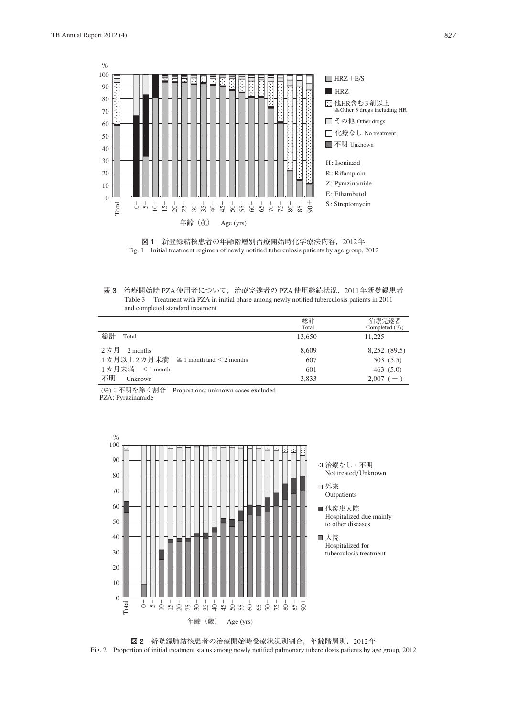



**表 3** 治療開始時 PZA使用者について,治療完遂者の PZA使用継続状況,2011年新登録患者 Table 3 Treatment with PZA in initial phase among newly notified tuberculosis patients in 2011 and completed standard treatment

|                                         | 総計<br>Total | 治療完遂者<br>Completed $(\% )$ |
|-----------------------------------------|-------------|----------------------------|
| 総計<br>Total                             | 13,650      | 11,225                     |
| 2カ月<br>2 months                         | 8,609       | 8,252 (89.5)               |
| 1カ月以上2カ月未満 ≧1 month and $\leq$ 2 months | 607         | 503(5.5)                   |
| 1カ月未満 <1 month                          | 601         | 463(5.0)                   |
| 不明<br>Unknown                           | 3.833       | $2.007$ (-)                |

(%):不明を除く割合 Proportions: unknown cases excluded

 $PZA: Pyrazinamide$ 



**図 2** 新登録肺結核患者の治療開始時受療状況別割合,年齢階層別,2012年 Fig. 2 Proportion of initial treatment status among newly notified pulmonary tuberculosis patients by age group, 2012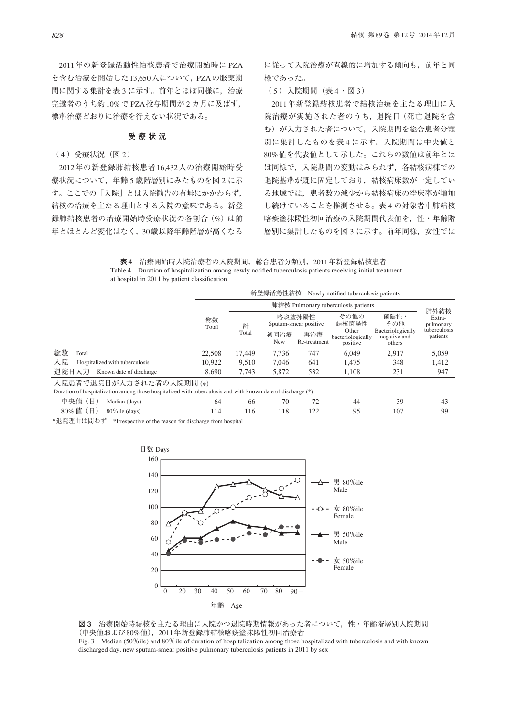2011年の新登録活動性結核患者で治療開始時に PZA を含む治療を開始した13,650人について,PZAの服薬期 間に関する集計を表 3 に示す。前年とほぼ同様に,治療 完遂者のうち約10%で PZA投与期間が 2 カ月に及ばず, 標準治療どおりに治療を行えない状況である。

# **受療状況**

( 4 )受療状況(図 2)

2012年の新登録肺結核患者16,432人の治療開始時受 療状況について、年齢5歳階層別にみたものを図2に示 す。ここでの「入院」とは入院勧告の有無にかかわらず, 結核の治療を主たる理由とする入院の意味である。新登 録肺結核患者の治療開始時受療状況の各割合(%)は前 年とほとんど変化はなく,30歳以降年齢階層が高くなる

に従って入院治療が直線的に増加する傾向も,前年と同 様であった。

(5) 入院期間 (表 4 · 図 3)

2011年新登録結核患者で結核治療を主たる理由に入 院治療が実施された者のうち,退院日(死亡退院を含 む)が入力された者について,入院期間を総合患者分類 別に集計したものを表 4 に示す。入院期間は中央値と 80%値を代表値として示した。これらの数値は前年とほ ぼ同様で,入院期間の変動はみられず,各結核病棟での 退院基準が既に固定しており,結核病床数が一定してい る地域では,患者数の減少から結核病床の空床率が増加 し続けていることを推測させる。表 4 の対象者中肺結核 喀痰塗抹陽性初回治療の入院期間代表値を,性・年齢階 層別に集計したものを図3に示す。前年同様、女性では

**表 4** 治療開始時入院治療者の入院期間,総合患者分類別,2011年新登録結核患者 Table 4 Duration of hospitalization among newly notified tuberculosis patients receiving initial treatment at hospital in 2011 by patient classification

|                                                                                                                                        |             |                                     | 新登録活動性結核    |                                 | Newly notified tuberculosis patients   |                                             |                             |  |  |
|----------------------------------------------------------------------------------------------------------------------------------------|-------------|-------------------------------------|-------------|---------------------------------|----------------------------------------|---------------------------------------------|-----------------------------|--|--|
|                                                                                                                                        |             | 肺結核 Pulmonary tuberculosis patients |             |                                 |                                        |                                             |                             |  |  |
|                                                                                                                                        | 総数<br>Total | 計                                   |             | 喀痰塗抹陽性<br>Sputum-smear positive |                                        | 菌陰性·<br>その他                                 | 肺外結核<br>Extra-<br>pulmonary |  |  |
|                                                                                                                                        |             | Total                               | 初回治療<br>New | 再治療<br>Re-treatment             | Other<br>bacteriologically<br>positive | Bacteriologically<br>negative and<br>others | tuberculosis<br>patients    |  |  |
| 総数<br>Total                                                                                                                            | 22,508      | 17.449                              | 7,736       | 747                             | 6.049                                  | 2.917                                       | 5,059                       |  |  |
| 入院<br>Hospitalized with tuberculosis                                                                                                   | 10.922      | 9.510                               | 7,046       | 641                             | 1,475                                  | 348                                         | 1,412                       |  |  |
| 退院日入力<br>Known date of discharge                                                                                                       | 8.690       | 7,743                               | 5,872       | 532                             | 1,108                                  | 231                                         | 947                         |  |  |
| 入院患者で退院日が入力された者の入院期間(*)<br>Duration of hospitalization among those hospitalized with tuberculosis and with known date of discharge (*) |             |                                     |             |                                 |                                        |                                             |                             |  |  |
| 中央値<br>ΈËΙ<br>Median (days)                                                                                                            | 64          | 66                                  | 70          | 72                              | 44                                     | 39                                          | 43                          |  |  |
| $80\%$ 値 (日)<br>$80\%$ ile (davs)                                                                                                      | 114         | 116                                 | 118         | 122                             | 95                                     | 107                                         | 99                          |  |  |

\*退院理由は問わず \*Irrespective of the reason for discharge from hospital



**図 3** 治療開始時結核を主たる理由に入院かつ退院時期情報があった者について,性・年齢階層別入院期間 (中央値および80%値),2011年新登録肺結核喀痰塗抹陽性初回治療者 Fig. 3 Median (50%ile) and 80%ile of duration of hospitalization among those hospitalized with tuberculosis and with known

discharged day, new sputum-smear positive pulmonary tuberculosis patients in 2011 by sex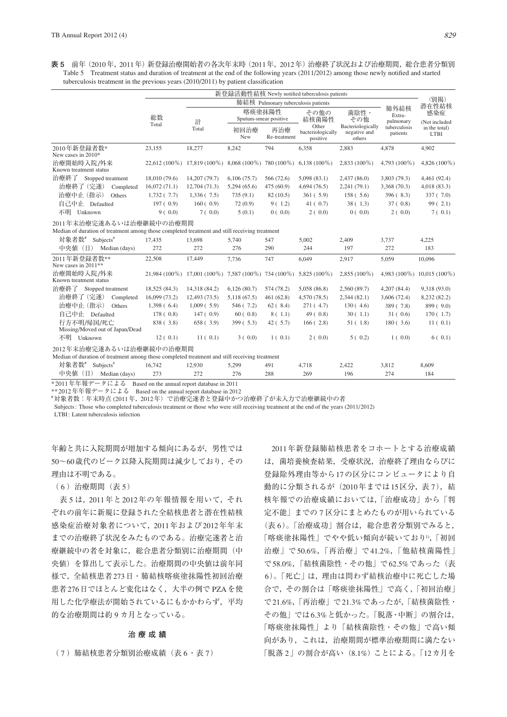**表 5** 前年(2010年,2011年)新登録治療開始者の各次年末時(2011年,2012年)治療終了状況および治療期間,総合患者分類別 Table 5 Treatment status and duration of treatment at the end of the following years (2011/2012) among those newly notified and started tuberculosis treatment in the previous years  $(2010/2011)$  by patient classification

|                                                                                                                                                                                                                                |               | 新登録活動性結核 Newly notified tuberculosis patients       |                                 |                     |                                        |                                             |                             |                               |  |  |  |
|--------------------------------------------------------------------------------------------------------------------------------------------------------------------------------------------------------------------------------|---------------|-----------------------------------------------------|---------------------------------|---------------------|----------------------------------------|---------------------------------------------|-----------------------------|-------------------------------|--|--|--|
|                                                                                                                                                                                                                                |               | 肺結核 Pulmonary tuberculosis patients                 |                                 |                     |                                        |                                             |                             |                               |  |  |  |
|                                                                                                                                                                                                                                | 総数            | 計                                                   | 喀痰塗抹陽性<br>Sputum-smear positive |                     | その他の<br>結核菌陽性                          | 菌陰性·<br>その他                                 | 肺外結核<br>Extra-<br>pulmonary | 潜在性結核<br>感染症<br>(Not included |  |  |  |
|                                                                                                                                                                                                                                | Total         | Total                                               | 初回治療<br><b>New</b>              | 再治療<br>Re-treatment | Other<br>bacteriologically<br>positive | Bacteriologically<br>negative and<br>others | tuberculosis<br>patients    | in the total)<br><b>LTBI</b>  |  |  |  |
| 2010年新登録者数*<br>New cases in $2010*$                                                                                                                                                                                            | 23,155        | 18,277                                              | 8.242                           | 794                 | 6,358                                  | 2,883                                       | 4.878                       | 4.902                         |  |  |  |
| 治療開始時入院/外来<br>Known treatment status                                                                                                                                                                                           |               | 22,612 (100%) 17,819 (100%) 8,068 (100%) 780 (100%) |                                 |                     | $6.138(100\%)$                         | $2,833(100\%)$                              | $4.793(100\%)$              | $4,826(100\%)$                |  |  |  |
| 治療終了<br>Stopped treatment                                                                                                                                                                                                      | 18,010 (79.6) | 14,207 (79.7)                                       | 6,106(75.7)                     | 566 (72.6)          | 5,098(83.1)                            | 2,437(86.0)                                 | 3,803(79.3)                 | 4,461 (92.4)                  |  |  |  |
| 治療終了 (完遂)<br>Completed                                                                                                                                                                                                         | 16,072(71.1)  | 12,704(71.3)                                        | 5,294(65.6)                     | 475(60.9)           | 4,694(76.5)                            | 2,241(79.1)                                 | 3,368(70.3)                 | 4,018(83.3)                   |  |  |  |
| 治療中止 (指示)<br><b>Others</b>                                                                                                                                                                                                     | 1,732(7.7)    | 1,336(7.5)                                          | 735(9.1)                        | 82(10.5)            | 361(5.9)                               | 158(.5.6)                                   | 396(8.3)                    | 337(7.0)                      |  |  |  |
| 自己中止<br>Defaulted                                                                                                                                                                                                              | 197(0.9)      | 160(0.9)                                            | 72(0.9)                         | 9(1.2)              | 41(0.7)                                | 38(1.3)                                     | 37(0.8)                     | 99(2.1)                       |  |  |  |
| 不明<br>Unknown                                                                                                                                                                                                                  | 9(0.0)        | 7(0.0)                                              | 5(0.1)                          | 0(0.0)              | 2(0.0)                                 | 0(0.0)                                      | 2(0.0)                      | 7(0.1)                        |  |  |  |
| the contract of the contract of the contract of the contract of the contract of the contract of the contract of the contract of the contract of the contract of the contract of the contract of the contract of the contract o |               |                                                     |                                 |                     |                                        |                                             |                             |                               |  |  |  |

2011年末治療完遂あるいは治療継続中の治療期間

Median of duration of treatment among those completed treatment and still receiving treatment

| 対象者数#<br>Subjects <sup>#</sup>                | 17,435                                                                                        | 13,698                                                  | 5,740       | 547        | 5,002          | 2,409          | 3,737          | 4,225           |
|-----------------------------------------------|-----------------------------------------------------------------------------------------------|---------------------------------------------------------|-------------|------------|----------------|----------------|----------------|-----------------|
| 中央值 (日)                                       | Median (days)<br>272                                                                          | 272                                                     | 276         | 290        | 244            | 197            | 272            | 183             |
| 2011年新登録者数**<br>New cases in 2011**           | 22,508                                                                                        | 17.449                                                  | 7.736       | 747        | 6.049          | 2,917          | 5.059          | 10.096          |
| 治療開始時入院/外来<br>Known treatment status          |                                                                                               | 21,984 (100\%) 17,001 (100\%) 7,587 (100\%) 734 (100\%) |             |            | $5,825(100\%)$ | $2,855(100\%)$ | $4.983(100\%)$ | $10.015(100\%)$ |
| 治療終了<br>Stopped treatment                     | 18,525 (84.3)                                                                                 | 14,318 (84.2)                                           | 6,126(80.7) | 574 (78.2) | 5,058 (86.8)   | 2,560 (89.7)   | 4,207(84.4)    | 9,318 (93.0)    |
| 治療終了 (完遂)                                     | 16,099 (73.2)<br>Completed                                                                    | 12,493 (73.5)                                           | 5,118(67.5) | 461(62.8)  | 4,570(78.5)    | 2,344(82,1)    | 3,606 (72.4)   | 8,232 (82.2)    |
| 治療中止 (指示)                                     | 1,398(6.4)<br><b>Others</b>                                                                   | 1,009(5.9)                                              | 546 (7.2)   | 62(.8.4)   | 271(4.7)       | 130(4.6)       | 389 (7.8)      | 899 (9.0)       |
| 自己中止<br>Defaulted                             | 178(.0.8)                                                                                     | 147(0.9)                                                | 60(0.8)     | 8(1.1)     | 49(0.8)        | 30(1.1)        | 31(0.6)        | 170(.1.7)       |
| 行方不明/帰国/死亡<br>Missing/Moved out of Japan/Dead | 838 (3.8)                                                                                     | 658(3.9)                                                | 399(5.3)    | 42(5.7)    | 166(2.8)       | 51(1.8)        | 180(.3.6)      | 11(0.1)         |
| 不明<br>Unknown                                 | 12(0.1)                                                                                       | 11(0.1)                                                 | 3(0.0)      | 1(0.1)     | 2(0.0)         | 5(0.2)         | 1(0.0)         | 6(0.1)          |
|                                               | 2012年末治療完遂あるいは治療継続中の治療期間                                                                      |                                                         |             |            |                |                |                |                 |
|                                               | Median of duration of treatment among those completed treatment and still receiving treatment |                                                         |             |            |                |                |                |                 |
| 対象者数#<br>$Subjects$ <sup>#</sup>              | 16.742                                                                                        | 12,930                                                  | 5,299       | 491        | 4,718          | 2,422          | 3,812          | 8,609           |
| 中央値<br>$(\Box)$                               | Median (days)<br>273                                                                          | 272                                                     | 276         | 288        | 269            | 196            | 274            | 184             |

\*2011年年報データによる Based on the annual report database in 2011

\*\*2012年年報データによる Based on the annual report database in 2012

# 対象者数:年末時点 (2011年,2012年)で治療完遂者と登録中かつ治療終了が未入力で治療継続中の者

Subjects: Those who completed tuberculosis treatment or those who were still receiving treatment at the end of the years (2011/2012)

LTBI: Latent tuberculosis infection

年齢と共に入院期間が増加する傾向にあるが,男性では 50~60歳代のピーク以降入院期間は減少しており,その 理由は不明である。

( 6 )治療期間(表 5)

 表 5 は,2011年と2012年の年報情報を用いて,それ ぞれの前年に新規に登録された全結核患者と潜在性結核 感染症治療対象者について,2011年および2012年年末 までの治療終了状況をみたものである。治療完遂者と治 療継続中の者を対象に、総合患者分類別に治療期間(中 央値)を算出して表示した。治療期間の中央値は前年同 様で,全結核患者273日・肺結核喀痰塗抹陽性初回治療 患者276日でほとんど変化はなく,大半の例で PZAを使 用した化学療法が開始されているにもかかわらず,平均 的な治療期間は約 9 カ月となっている。

## **治療成績**

( 7 )肺結核患者分類別治療成績(表 6・表 7)

2011年新登録肺結核患者をコホートとする治療成績 は,菌培養検査結果,受療状況,治療終了理由ならびに 登録除外理由等から17の区分にコンピュータにより自 動的に分類されるが (2010年までは15区分,表 7), 結 核年報での治療成績においては,「治療成功」から「判 定不能」までの 7 区分にまとめたものが用いられている (表 6)。「治療成功」割合は,総合患者分類別でみると, 「喀痰塗抹陽性」でやや低い傾向が続いており1),「初回 治療」で50.6%,「再治療」で41.2%,「他結核菌陽性」 で58.0%,「結核菌陰性・その他」で62.5%であった(表 6)。「死亡」は,理由は問わず結核治療中に死亡した場 合で,その割合は「喀痰塗抹陽性」で高く,「初回治療」 で21.6%,「再治療」で21.3%であったが,「結核菌陰性・ その他」では6.3%と低かった。「脱落・中断」の割合は, 「喀痰塗抹陽性」より「結核菌陰性・その他」で高い傾 向があり,これは,治療期間が標準治療期間に満たない 「脱落 2」の割合が高い(8.1%)ことによる。「12カ月を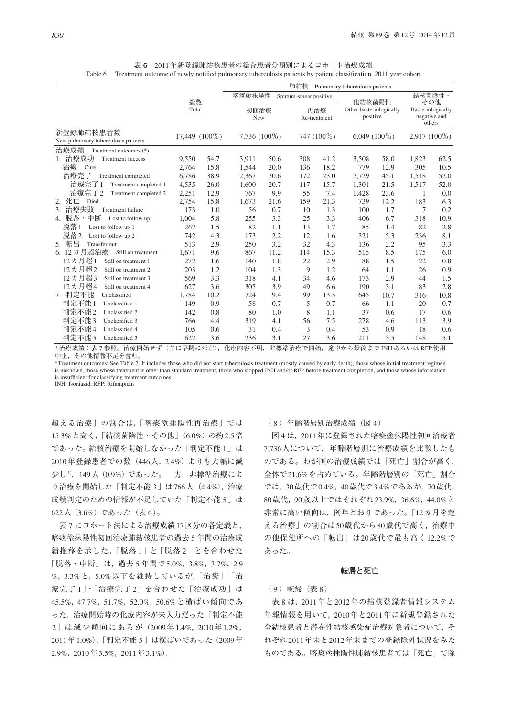**表 6** 2011年新登録肺結核患者の総合患者分類別によるコホート治療成績 Table 6 Treatment outcome of newly notified pulmonary tuberculosis patients by patient classification, 2011 year cohort

|                                        |             |               | 肺結核<br>Pulmonary tuberculosis patients |      |                       |                     |                                               |      |        |                                                    |  |
|----------------------------------------|-------------|---------------|----------------------------------------|------|-----------------------|---------------------|-----------------------------------------------|------|--------|----------------------------------------------------|--|
|                                        |             |               | 喀痰塗抹陽性                                 |      | Sputum-smear positive |                     |                                               |      | 結核菌陰性· |                                                    |  |
|                                        | 総数<br>Total |               | 初回治療<br>New                            |      |                       | 再治療<br>Re-treatment | 他結核菌陽性<br>Other bacteriologically<br>positive |      |        | その他<br>Bacteriologically<br>negative and<br>others |  |
| 新登録肺結核患者数                              |             | 17,449 (100%) | 7,736 (100%)                           |      |                       | 747 (100%)          | $6,049(100\%)$                                |      |        | 2,917 (100%)                                       |  |
| New pulmonary tuberculosis patients    |             |               |                                        |      |                       |                     |                                               |      |        |                                                    |  |
| 治療成績<br>Treatment outcomes (*)         |             |               |                                        |      |                       |                     |                                               |      |        |                                                    |  |
| 治療成功<br>Treatment success              | 9,550       | 54.7          | 3,911                                  | 50.6 | 308                   | 41.2                | 3,508                                         | 58.0 | 1,823  | 62.5                                               |  |
| 治癒<br>Cure                             | 2,764       | 15.8          | 1.544                                  | 20.0 | 136                   | 18.2                | 779                                           | 12.9 | 305    | 10.5                                               |  |
| 治療完了<br>Treatment completed            | 6,786       | 38.9          | 2,367                                  | 30.6 | 172                   | 23.0                | 2,729                                         | 45.1 | 1,518  | 52.0                                               |  |
| 治療完了1<br>Treatment completed 1         | 4,535       | 26.0          | 1,600                                  | 20.7 | 117                   | 15.7                | 1,301                                         | 21.5 | 1,517  | 52.0                                               |  |
| 治療完了2<br>Treatment completed 2         | 2,251       | 12.9          | 767                                    | 9.9  | 55                    | 7.4                 | 1,428                                         | 23.6 | 1      | 0.0                                                |  |
| 死亡<br>Died                             | 2,754       | 15.8          | 1,673                                  | 21.6 | 159                   | 21.3                | 739                                           | 12.2 | 183    | 6.3                                                |  |
| 治療失敗<br>3.<br><b>Treatment failure</b> | 173         | 1.0           | 56                                     | 0.7  | 10                    | 1.3                 | 100                                           | 1.7  | 7      | 0.2                                                |  |
| 4. 脱落・中断<br>Lost to follow up          | 1,004       | 5.8           | 255                                    | 3.3  | 25                    | 3.3                 | 406                                           | 6.7  | 318    | 10.9                                               |  |
| 脱落1<br>Lost to follow up 1             | 262         | 1.5           | 82                                     | 1.1  | 13                    | 1.7                 | 85                                            | 1.4  | 82     | 2.8                                                |  |
| 脱落2<br>Lost to follow up 2             | 742         | 4.3           | 173                                    | 2.2  | 12                    | 1.6                 | 321                                           | 5.3  | 236    | 8.1                                                |  |
| 転出<br><b>Transfer out</b><br>5.        | 513         | 2.9           | 250                                    | 3.2  | 32                    | 4.3                 | 136                                           | 2.2  | 95     | 3.3                                                |  |
| 6. 12カ月超治療<br>Still on treatment       | 1,671       | 9.6           | 867                                    | 11.2 | 114                   | 15.3                | 515                                           | 8.5  | 175    | 6.0                                                |  |
| 12カ月超1<br>Still on treatment 1         | 272         | 1.6           | 140                                    | 1.8  | 22                    | 2.9                 | 88                                            | 1.5  | 22     | 0.8                                                |  |
| 12カ月超2<br>Still on treatment 2         | 203         | 1.2           | 104                                    | 1.3  | 9                     | 1.2                 | 64                                            | 1.1  | 26     | 0.9                                                |  |
| 12カ月超3<br>Still on treatment 3         | 569         | 3.3           | 318                                    | 4.1  | 34                    | 4.6                 | 173                                           | 2.9  | 44     | 1.5                                                |  |
| 12カ月超4<br>Still on treatment 4         | 627         | 3.6           | 305                                    | 3.9  | 49                    | 6.6                 | 190                                           | 3.1  | 83     | 2.8                                                |  |
| 7. 判定不能<br>Unclassified                | 1,784       | 10.2          | 724                                    | 9.4  | 99                    | 13.3                | 645                                           | 10.7 | 316    | 10.8                                               |  |
| 判定不能1<br>Unclassified 1                | 149         | 0.9           | 58                                     | 0.7  | 5                     | 0.7                 | 66                                            | 1.1  | 20     | 0.7                                                |  |
| 判定不能2<br>Unclassified 2                | 142         | 0.8           | 80                                     | 1.0  | 8                     | 1.1                 | 37                                            | 0.6  | 17     | 0.6                                                |  |
| 判定不能3<br>Unclassified 3                | 766         | 4.4           | 319                                    | 4.1  | 56                    | 7.5                 | 278                                           | 4.6  | 113    | 3.9                                                |  |
| 判定不能4<br>Unclassified 4                | 105         | 0.6           | 31                                     | 0.4  | 3                     | 0.4                 | 53                                            | 0.9  | 18     | 0.6                                                |  |
| 判定不能 5<br>Unclassified 5               | 622         | 3.6           | 236                                    | 3.1  | 27                    | 3.6                 | 211                                           | 3.5  | 148    | 5.1                                                |  |

\*治療成績:表 7 参照。治療開始せず(主に早期に死亡), 化療内容不明, 非標準治療で開始, 途中から最後まで INHあるいは RFP使用 中止,その他情報不足を含む。

\*Treatment outcomes: See Table 7. It includes those who did not start tuberculosis treatment (mostly caused by early death), those whose initial treatment regimen is unknown, those whose treatment is other than standard treatment, those who stopped INH and/or RFP before treatment completion, and those whose information is insufficient for classifying treatment outcomes.

INH: Isoniazid, RFP: Rifampicin

超える治療」の割合は,「喀痰塗抹陽性再治療」では 15.3%と高く,「結核菌陰性・その他」(6.0%)の約2.5倍 であった。結核治療を開始しなかった「判定不能 1」は 2010年登録患者での数(446人,2.4%)よりも大幅に減 少し1),149人(0.9%)であった。一方,非標準治療によ り治療を開始した「判定不能 3」は766人(4.4%),治療 成績判定のための情報が不足していた「判定不能 5」は 622人(3.6%)であった(表 6)。

 表 7 にコホート法による治療成績17区分の各定義と, 喀痰塗抹陽性初回治療肺結核患者の過去 5 年間の治療成 績推移を示した。「脱落 1」と「脱落 2」とを合わせた 「脱落・中断」は,過去 5 年間で5.0%,3.8%,3.7%,2.9 %,3.3%と,5.0%以下を維持しているが,「治癒」・「治 療完了1」・「治療完了2」を合わせた「治療成功」は 45.5%,47.7%,51.7%,52.0%,50.6%と横ばい傾向であ った。治療開始時の化療内容が未入力だった「判定不能 2」は減少傾向にあるが(2009年1.4%,2010年1.2%, 2011年1.0%),「判定不能 5」は横ばいであった(2009年 2.9%,2010年3.5%,2011年3.1%)。

## ( 8 )年齢階層別治療成績(図 4)

 図 4 は,2011年に登録された喀痰塗抹陽性初回治療者 7,736人について,年齢階層別に治療成績を比較したも のである。わが国の治療成績では「死亡」割合が高く, 全体で21.6%を占めている。年齢階層別の「死亡」割合 では,30歳代で0.4%,40歳代で3.4%であるが,70歳代, 80歳代,90歳以上ではそれぞれ23.9%,36.6%,44.0%と 非常に高い傾向は、例年どおりであった。「12カ月を超 える治療」の割合は50歳代から80歳代で高く,治療中 の他保健所への「転出」は20歳代で最も高く12.2%で あった。

#### **転帰と死亡**

## ( 9 )転帰(表 8)

 表 8 は,2011年と2012年の結核登録者情報システム 年報情報を用いて,2010年と2011年に新規登録された 全結核患者と潜在性結核感染症治療対象者について,そ れぞれ2011年末と2012年末までの登録除外状況をみた ものである。喀痰塗抹陽性肺結核患者では「死亡」で除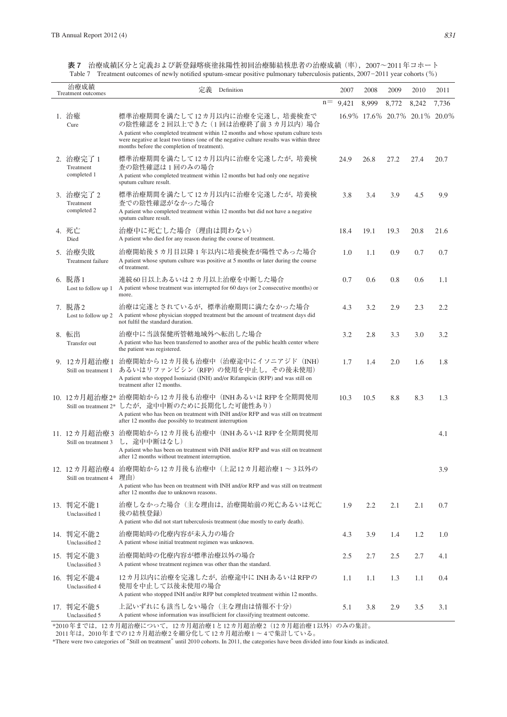| 治療成績<br>Treatment outcomes            | 定義<br>Definition                                                                                                                                                                                                                                                                               |       | 2007  | 2008  | 2009                          | 2010  | 2011  |
|---------------------------------------|------------------------------------------------------------------------------------------------------------------------------------------------------------------------------------------------------------------------------------------------------------------------------------------------|-------|-------|-------|-------------------------------|-------|-------|
|                                       |                                                                                                                                                                                                                                                                                                | $n =$ | 9,421 | 8,999 | 8,772                         | 8,242 | 7,736 |
| 1. 治癒<br>Cure                         | 標準治療期間を満たして12カ月以内に治療を完遂し、培養検査で<br>の陰性確認を2回以上できた(1回は治療終了前3カ月以内)場合<br>A patient who completed treatment within 12 months and whose sputum culture tests<br>were negative at least two times (one of the negative culture results was within three<br>months before the completion of treatment). |       |       |       | 16.9% 17.6% 20.7% 20.1% 20.0% |       |       |
| 2. 治療完了 1<br>Treatment<br>completed 1 | 標準治療期間を満たして12カ月以内に治療を完遂したが, 培養検<br>査の陰性確認は1回のみの場合<br>A patient who completed treatment within 12 months but had only one negative<br>sputum culture result.                                                                                                                                    |       | 24.9  | 26.8  | 27.2                          | 27.4  | 20.7  |
| 3. 治療完了2<br>Treatment<br>completed 2  | 標準治療期間を満たして12カ月以内に治療を完遂したが、培養検<br>査での陰性確認がなかった場合<br>A patient who completed treatment within 12 months but did not have a negative<br>sputum culture result.                                                                                                                                   |       | 3.8   | 3.4   | 3.9                           | 4.5   | 9.9   |
| 4. 死亡<br>Died                         | 治療中に死亡した場合(理由は問わない)<br>A patient who died for any reason during the course of treatment.                                                                                                                                                                                                       |       | 18.4  | 19.1  | 19.3                          | 20.8  | 21.6  |
| 5. 治療失敗<br>Treatment failure          | 治療開始後5カ月目以降1年以内に培養検査が陽性であった場合<br>A patient whose sputum culture was positive at 5 months or later during the course<br>of treatment.                                                                                                                                                           |       | 1.0   | 1.1   | 0.9                           | 0.7   | 0.7   |
| 6. 脱落1<br>Lost to follow up 1         | 連続60日以上あるいは2カ月以上治療を中断した場合<br>A patient whose treatment was interrupted for 60 days (or 2 consecutive months) or<br>more.                                                                                                                                                                       |       | 0.7   | 0.6   | 0.8                           | 0.6   | 1.1   |
| 7. 脱落2<br>Lost to follow up 2         | 治療は完遂とされているが,標準治療期間に満たなかった場合<br>A patient whose physician stopped treatment but the amount of treatment days did<br>not fulfil the standard duration.                                                                                                                                          |       | 4.3   | 3.2   | 2.9                           | 2.3   | 2.2   |
| 8. 転出<br>Transfer out                 | 治療中に当該保健所管轄地域外へ転出した場合<br>A patient who has been transferred to another area of the public health center where<br>the patient was registered.                                                                                                                                                   |       | 3.2   | 2.8   | 3.3                           | 3.0   | 3.2   |
| 9. 12カ月超治療1<br>Still on treatment 1   | 治療開始から12カ月後も治療中(治療途中にイソニアジド(INH)<br>あるいはリファンピシン (RFP) の使用を中止し、その後未使用)<br>A patient who stopped Isoniazid (INH) and/or Rifampicin (RFP) and was still on<br>treatment after 12 months.                                                                                                          |       | 1.7   | 1.4   | 2.0                           | 1.6   | 1.8   |
|                                       | 10. 12カ月超治療2* 治療開始から12カ月後も治療中 (INHあるいは RFPを全期間使用<br>Still on treatment 2* したが、途中中断のために長期化した可能性あり)<br>A patient who has been on treatment with INH and/or RFP and was still on treatment<br>after 12 months due possibly to treatment interruption                                              |       | 10.3  | 10.5  | 8.8                           | 8.3   | 1.3   |
| 11. 12カ月超治療3<br>Still on treatment 3  | 治療開始から12カ月後も治療中 (INHあるいは RFPを全期間使用<br>し、途中中断はなし)<br>A patient who has been on treatment with INH and/or RFP and was still on treatment<br>after 12 months without treatment interruption.                                                                                                      |       |       |       |                               |       | 4.1   |
| Still on treatment 4                  | 12. 12カ月超治療4 治療開始から12カ月後も治療中(上記12カ月超治療1 ~ 3以外の<br>理由)<br>A patient who has been on treatment with INH and/or RFP and was still on treatment<br>after 12 months due to unknown reasons.                                                                                                         |       |       |       |                               |       | 3.9   |
| 13. 判定不能1<br>Unclassified 1           | 治療しなかった場合(主な理由は、治療開始前の死亡あるいは死亡<br>後の結核登録)<br>A patient who did not start tuberculosis treatment (due mostly to early death).                                                                                                                                                                   |       | 1.9   | 2.2   | 2.1                           | 2.1   | 0.7   |
| 14. 判定不能2<br>Unclassified 2           | 治療開始時の化療内容が未入力の場合<br>A patient whose initial treatment regimen was unknown.                                                                                                                                                                                                                    |       | 4.3   | 3.9   | 1.4                           | 1.2   | 1.0   |
| 15. 判定不能3<br>Unclassified 3           | 治療開始時の化療内容が標準治療以外の場合<br>A patient whose treatment regimen was other than the standard.                                                                                                                                                                                                         |       | 2.5   | 2.7   | 2.5                           | 2.7   | 4.1   |
| 16. 判定不能4<br>Unclassified 4           | 12カ月以内に治療を完遂したが、治療途中に INHあるいはRFPの<br>使用を中止して以後未使用の場合<br>A patient who stopped INH and/or RFP but completed treatment within 12 months.                                                                                                                                                         |       | 1.1   | 1.1   | 1.3                           | 1.1   | 0.4   |
| 17. 判定不能5<br>Unclassified 5           | 上記いずれにも該当しない場合 (主な理由は情報不十分)<br>A patient whose information was insufficient for classifying treatment outcome.                                                                                                                                                                                 |       | 5.1   | 3.8   | 2.9                           | 3.5   | 3.1   |

**表 7** 治療成績区分と定義および新登録喀痰塗抹陽性初回治療肺結核患者の治療成績(率),2007~2011年コホート Table 7 Treatment outcomes of newly notified sputum-smear positive pulmonary tuberculosis patients, 2007-2011 year cohorts (%)

\*2010年までは,12カ月超治療について,12カ月超治療1と12カ月超治療2(12カ月超治療1以外)のみの集計。

- 2010年は、2010年までの12カ月超治療2を細分化して12カ月超治療1 ~ 4で集計している。

\*There were two categories of "Still on treatment" until 2010 cohorts. In 2011, the categories have been divided into four kinds as indicated.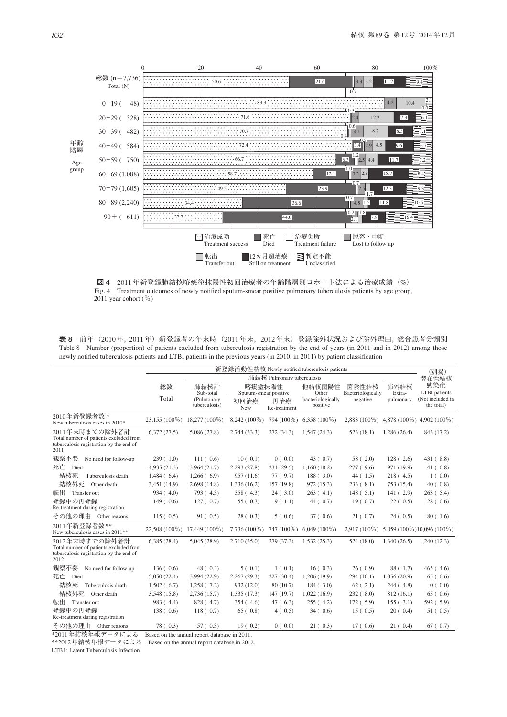

**図 4** 2011年新登録肺結核喀痰塗抹陽性初回治療者の年齢階層別コホート法による治療成績(%) Fig. 4 Treatment outcomes of newly notified sputum-smear positive pulmonary tuberculosis patients by age group,  $2011$  year cohort (%)

**表 8** 前年(2010年,2011年)新登録者の年末時(2011年末,2012年末)登録除外状況および除外理由,総合患者分類別 Table 8 Number (proportion) of patients excluded from tuberculosis registration by the end of years (in 2011 and in 2012) among those newly notified tuberculosis patients and LTBI patients in the previous years (in 2010, in 2011) by patient classification

|                                                                                                             | 新登録活動性結核 Newly notified tuberculosis patients |                                                  |                                                |                            |                                                  |                                        |                             |                                                               |
|-------------------------------------------------------------------------------------------------------------|-----------------------------------------------|--------------------------------------------------|------------------------------------------------|----------------------------|--------------------------------------------------|----------------------------------------|-----------------------------|---------------------------------------------------------------|
|                                                                                                             |                                               |                                                  |                                                | 肺結核 Pulmonary tuberculosis |                                                  |                                        |                             | (別掲)<br>潜在性結核                                                 |
|                                                                                                             | 総数<br>Total                                   | 肺結核計<br>Sub-total<br>(Pulmonary<br>tuberculosis) | 喀痰塗抹陽性<br>Sputum-smear positive<br>初回治療<br>New | 再治療<br>Re-treatment        | 他結核菌陽性<br>Other<br>bacteriologically<br>positive | 菌陰性結核<br>Bacteriologically<br>negative | 肺外結核<br>Extra-<br>pulmonary | 感染症<br><b>LTBI</b> patients<br>(Not included in<br>the total) |
| 2010年新登録者数*<br>New tuberculosis cases in 2010*                                                              |                                               | 23,155 (100%) 18,277 (100%)                      | $8,242(100\%)$                                 |                            | 794 (100%) 6,358 (100%)                          |                                        |                             | 2,883 (100%) 4,878 (100%) 4,902 (100%)                        |
| 2011年末時までの除外者計<br>Total number of patients excluded from<br>tuberculosis registration by the end of<br>2011 | 6,372(27.5)                                   | 5,086(27.8)                                      | 2,744(33.3)                                    | 272 (34.3)                 | 1,547(24.3)                                      | 523(18.1)                              | 1,286(26.4)                 | 843 (17.2)                                                    |
| 観察不要<br>No need for follow-up                                                                               | 239(1.0)                                      | 111(0.6)                                         | 10(0.1)                                        | 0(0.0)                     | 43(0.7)                                          | 58(2.0)                                | 128(2.6)                    | 431(8.8)                                                      |
| 死亡 Died                                                                                                     | 4,935(21.3)                                   | 3,964 (21.7)                                     | 2,293 (27.8)                                   | 234 (29.5)                 | 1,160(18.2)                                      | 277(.9.6)                              | 971 (19.9)                  | 41(0.8)                                                       |
| 結核死<br>Tuberculosis death                                                                                   | 1,484(6.4)                                    | 1,266(6.9)                                       | 957 (11.6)                                     | 77(9.7)                    | 188(.3.0)                                        | 44(1.5)                                | 218(4.5)                    | 1(0.0)                                                        |
| 結核外死<br>Other death                                                                                         | 3,451 (14.9)                                  | 2,698(14.8)                                      | 1,336 (16.2)                                   | 157 (19.8)                 | 972(15.3)                                        | 233(.8.1)                              | 753 (15.4)                  | 40(0.8)                                                       |
| 転出 Transfer out                                                                                             | 934(4.0)                                      | 793 (4.3)                                        | $358 (+4.3)$                                   | 24(3.0)                    | 263(4.1)                                         | 148(.5.1)                              | 141(2.9)                    | 263(.5.4)                                                     |
| 登録中の再登録<br>Re-treatment during registration                                                                 | 149(0.6)                                      | 127(0.7)                                         | 55(0.7)                                        | 9(1.1)                     | 44(0.7)                                          | 19(0.7)                                | 22(0.5)                     | 28(0.6)                                                       |
| その他の理由<br>Other reasons                                                                                     | 115(0.5)                                      | 91(0.5)                                          | 28(0.3)                                        | 5(0.6)                     | 37(0.6)                                          | 21(0.7)                                | 24(0.5)                     | 80(1.6)                                                       |
| 2011年新登録者数**<br>New tuberculosis cases in 2011 <sup>**</sup>                                                | 22,508 (100%)                                 | 17,449 (100%)                                    | $7,736(100\%)$                                 | 747 (100%)                 | $6,049(100\%)$                                   | $2,917(100\%)$                         |                             | 5,059 (100%) 10,096 (100%)                                    |
| 2012年末時までの除外者計<br>Total number of patients excluded from<br>tuberculosis registration by the end of<br>2012 | 6,385(28.4)                                   | 5,045(28.9)                                      | 2,710(35.0)                                    | 279 (37.3)                 | 1,532(25.3)                                      | 524(18.0)                              | 1,340(26.5)                 | 1,240(12.3)                                                   |
| 観察不要<br>No need for follow-up                                                                               | 136(0.6)                                      | 48(0.3)                                          | 5(0.1)                                         | 1(0.1)                     | 16(0.3)                                          | 26(0.9)                                | 88 (1.7)                    | 465(4.6)                                                      |
| 死亡<br>Died                                                                                                  | 5,050(22.4)                                   | 3,994 (22.9)                                     | 2,267(29.3)                                    | 227 (30.4)                 | 1,206 (19.9)                                     | 294(10.1)                              | 1,056(20.9)                 | 65(0.6)                                                       |
| 結核死<br>Tuberculosis death                                                                                   | 1,502(6.7)                                    | 1,258(7.2)                                       | 932 (12.0)                                     | 80 (10.7)                  | 184(3.0)                                         | 62(2.1)                                | 244(4.8)                    | 0(0.0)                                                        |
| 結核外死<br>Other death                                                                                         | 3,548 (15.8)                                  | 2,736 (15.7)                                     | 1,335(17.3)                                    | 147 (19.7)                 | 1,022(16.9)                                      | 232(.8.0)                              | 812(16.1)                   | 65(0.6)                                                       |
| 転出<br>Transfer out                                                                                          | 983 (4.4)                                     | 828 (4.7)                                        | 354(4.6)                                       | 47(6.3)                    | 255(4.2)                                         | 172(.5.9)                              | 155(3.1)                    | 592 (5.9)                                                     |
| 登録中の再登録<br>Re-treatment during registration                                                                 | 138(0.6)                                      | 118(0.7)                                         | 65(0.8)                                        | 4(0.5)                     | 34(0.6)                                          | 15(0.5)                                | 20(0.4)                     | 51(0.5)                                                       |
| その他の理由 Other reasons<br>$x + y + 1 + z + 2 + 1$                                                             | 78(0.3)                                       | 57(0.3)                                          | 19(0.2)                                        | 0(0.0)                     | 21(0.3)                                          | 17(0.6)                                | 21(0.4)                     | 67(0.7)                                                       |

\*2011年結核年報データによる Based on the annual report database in 2011.

\*\*2012年結核年報データによる Based on the annual report database in 2012.

LTBI: Latent Tuberculosis Infection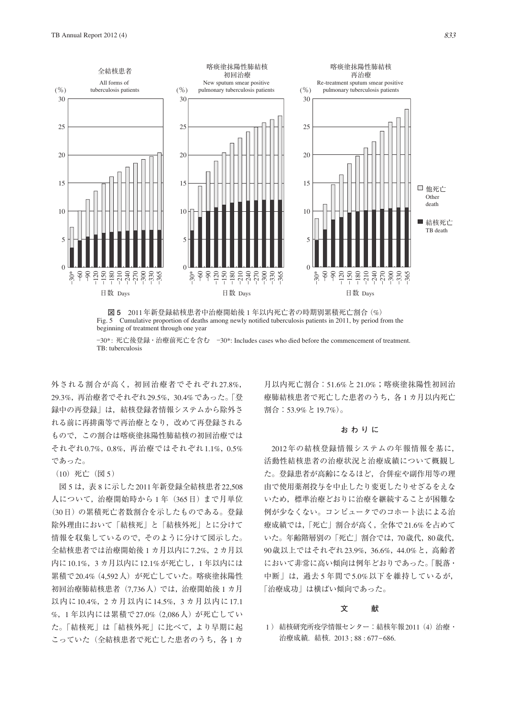

**図 5** 2011年新登録結核患者中治療開始後 1 年以内死亡者の時期別累積死亡割合(%) Fig. 5 Cumulative proportion of deaths among newly notified tuberculosis patients in 2011, by period from the beginning of treatment through one year

-30\*: 死亡後登録・治療前死亡を含む -30\*: Includes cases who died before the commencement of treatment. TB: tuberculosis

外される割合が高く,初回治療者でそれぞれ27.8%, 29.3%,再治療者でそれぞれ29.5%,30.4%であった。「登 録中の再登録」は,結核登録者情報システムから除外さ れる前に再排菌等で再治療となり,改めて再登録される もので,この割合は喀痰塗抹陽性肺結核の初回治療では それぞれ0.7%,0.8%,再治療ではそれぞれ1.1%,0.5% であった。

(10)死亡(図 5)

 図 5 は,表 8 に示した2011年新登録全結核患者22,508 人について、治療開始時から1年 (365日)まで月単位 (30日)の累積死亡者数割合を示したものである。登録 除外理由において「結核死」と「結核外死」とに分けて 情報を収集しているので,そのように分けて図示した。 全結核患者では治療開始後 1 カ月以内に7.2%,2 カ月以 内に10.1%,3 カ月以内に12.1%が死亡し,1 年以内には 累積で20.4%(4,592人)が死亡していた。喀痰塗抹陽性 初回治療肺結核患者(7,736人)では,治療開始後 1 カ月 以内に10.4%,2 カ月以内に14.5%,3 カ月以内に17.1 %,1 年以内には累積で27.0%(2,086人)が死亡してい た。「結核死」は「結核外死」に比べて,より早期に起 こっていた(全結核患者で死亡した患者のうち,各1カ

月以内死亡割合:51.6%と21.0%;喀痰塗抹陽性初回治 療肺結核患者で死亡した患者のうち、各1カ月以内死亡 割合:53.9%と19.7%)。

#### **おわりに**

2012年の結核登録情報システムの年報情報を基に, 活動性結核患者の治療状況と治療成績について概観し た。登録患者が高齢になるほど,合併症や副作用等の理 由で使用薬剤投与を中止したり変更したりせざるをえな いため,標準治療どおりに治療を継続することが困難な 例が少なくない。コンピュータでのコホート法による治 療成績では,「死亡」割合が高く,全体で21.6%を占めて いた。年齢階層別の「死亡」割合では,70歳代,80歳代, 90歳以上ではそれぞれ23.9%,36.6%,44.0%と,高齢者 において非常に高い傾向は例年どおりであった。「脱落・ 中断」は,過去 5 年間で5.0%以下を維持しているが, 「治療成功」は横ばい傾向であった。

## **文 献**

1 ) 結核研究所疫学情報センター:結核年報2011(4)治療・ 治療成績. 結核. 2013 ; 88 : 677\_686.